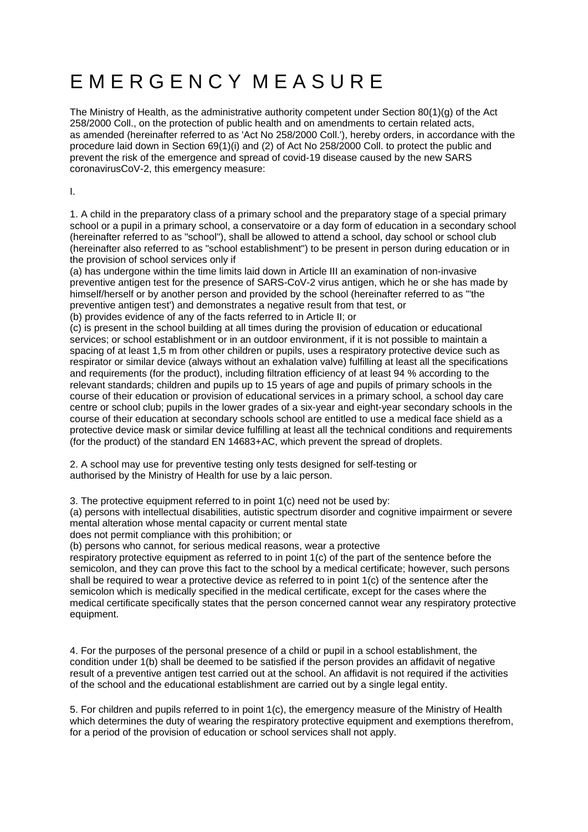# E M E R G E N C Y M E A S U R E

The Ministry of Health, as the administrative authority competent under Section 80(1)(g) of the Act 258/2000 Coll., on the protection of public health and on amendments to certain related acts, as amended (hereinafter referred to as 'Act No 258/2000 Coll.'), hereby orders, in accordance with the procedure laid down in Section 69(1)(i) and (2) of Act No 258/2000 Coll. to protect the public and prevent the risk of the emergence and spread of covid-19 disease caused by the new SARS coronavirusCoV-2, this emergency measure:

I.

1. A child in the preparatory class of a primary school and the preparatory stage of a special primary school or a pupil in a primary school, a conservatoire or a day form of education in a secondary school (hereinafter referred to as "school"), shall be allowed to attend a school, day school or school club (hereinafter also referred to as "school establishment") to be present in person during education or in the provision of school services only if

(a) has undergone within the time limits laid down in Article III an examination of non-invasive preventive antigen test for the presence of SARS-CoV-2 virus antigen, which he or she has made by himself/herself or by another person and provided by the school (hereinafter referred to as "'the preventive antigen test') and demonstrates a negative result from that test, or

(b) provides evidence of any of the facts referred to in Article II; or

(c) is present in the school building at all times during the provision of education or educational services; or school establishment or in an outdoor environment, if it is not possible to maintain a spacing of at least 1,5 m from other children or pupils, uses a respiratory protective device such as respirator or similar device (always without an exhalation valve) fulfilling at least all the specifications and requirements (for the product), including filtration efficiency of at least 94 % according to the relevant standards; children and pupils up to 15 years of age and pupils of primary schools in the course of their education or provision of educational services in a primary school, a school day care centre or school club; pupils in the lower grades of a six-year and eight-year secondary schools in the course of their education at secondary schools school are entitled to use a medical face shield as a protective device mask or similar device fulfilling at least all the technical conditions and requirements (for the product) of the standard EN 14683+AC, which prevent the spread of droplets.

2. A school may use for preventive testing only tests designed for self-testing or authorised by the Ministry of Health for use by a laic person.

3. The protective equipment referred to in point 1(c) need not be used by:

(a) persons with intellectual disabilities, autistic spectrum disorder and cognitive impairment or severe mental alteration whose mental capacity or current mental state

does not permit compliance with this prohibition; or

(b) persons who cannot, for serious medical reasons, wear a protective

respiratory protective equipment as referred to in point 1(c) of the part of the sentence before the semicolon, and they can prove this fact to the school by a medical certificate; however, such persons shall be required to wear a protective device as referred to in point 1(c) of the sentence after the semicolon which is medically specified in the medical certificate, except for the cases where the medical certificate specifically states that the person concerned cannot wear any respiratory protective equipment.

4. For the purposes of the personal presence of a child or pupil in a school establishment, the condition under 1(b) shall be deemed to be satisfied if the person provides an affidavit of negative result of a preventive antigen test carried out at the school. An affidavit is not required if the activities of the school and the educational establishment are carried out by a single legal entity.

5. For children and pupils referred to in point 1(c), the emergency measure of the Ministry of Health which determines the duty of wearing the respiratory protective equipment and exemptions therefrom. for a period of the provision of education or school services shall not apply.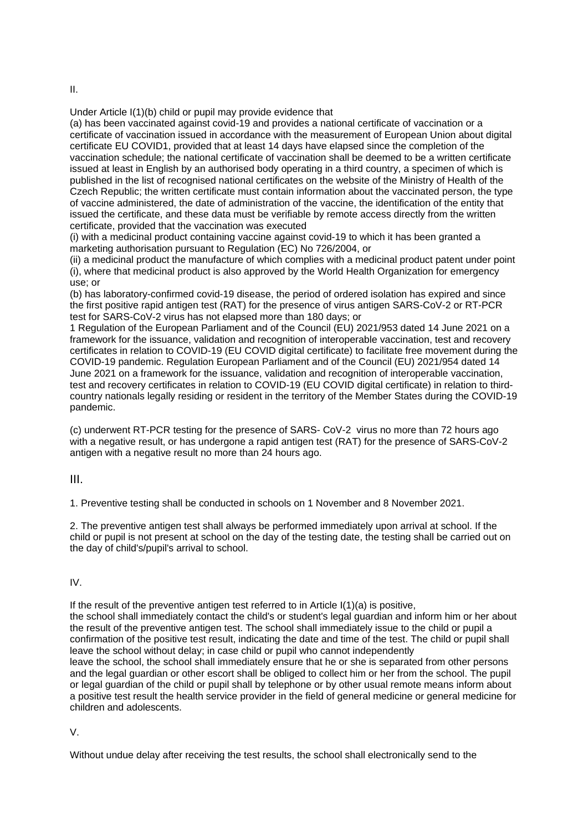Under Article I(1)(b) child or pupil may provide evidence that

(a) has been vaccinated against covid-19 and provides a national certificate of vaccination or a certificate of vaccination issued in accordance with the measurement of European Union about digital certificate EU COVID1, provided that at least 14 days have elapsed since the completion of the vaccination schedule; the national certificate of vaccination shall be deemed to be a written certificate issued at least in English by an authorised body operating in a third country, a specimen of which is published in the list of recognised national certificates on the website of the Ministry of Health of the Czech Republic; the written certificate must contain information about the vaccinated person, the type of vaccine administered, the date of administration of the vaccine, the identification of the entity that issued the certificate, and these data must be verifiable by remote access directly from the written certificate, provided that the vaccination was executed

(i) with a medicinal product containing vaccine against covid-19 to which it has been granted a marketing authorisation pursuant to Regulation (EC) No 726/2004, or

(ii) a medicinal product the manufacture of which complies with a medicinal product patent under point (i), where that medicinal product is also approved by the World Health Organization for emergency use; or

(b) has laboratory-confirmed covid-19 disease, the period of ordered isolation has expired and since the first positive rapid antigen test (RAT) for the presence of virus antigen SARS-CoV-2 or RT-PCR test for SARS-CoV-2 virus has not elapsed more than 180 days; or

1 Regulation of the European Parliament and of the Council (EU) 2021/953 dated 14 June 2021 on a framework for the issuance, validation and recognition of interoperable vaccination, test and recovery certificates in relation to COVID-19 (EU COVID digital certificate) to facilitate free movement during the COVID-19 pandemic. Regulation European Parliament and of the Council (EU) 2021/954 dated 14 June 2021 on a framework for the issuance, validation and recognition of interoperable vaccination, test and recovery certificates in relation to COVID-19 (EU COVID digital certificate) in relation to thirdcountry nationals legally residing or resident in the territory of the Member States during the COVID-19 pandemic.

(c) underwent RT-PCR testing for the presence of SARS- CoV-2 virus no more than 72 hours ago with a negative result, or has undergone a rapid antigen test (RAT) for the presence of SARS-CoV-2 antigen with a negative result no more than 24 hours ago.

III.

1. Preventive testing shall be conducted in schools on 1 November and 8 November 2021.

2. The preventive antigen test shall always be performed immediately upon arrival at school. If the child or pupil is not present at school on the day of the testing date, the testing shall be carried out on the day of child's/pupil's arrival to school.

# IV.

If the result of the preventive antigen test referred to in Article  $I(1)(a)$  is positive, the school shall immediately contact the child's or student's legal guardian and inform him or her about the result of the preventive antigen test. The school shall immediately issue to the child or pupil a confirmation of the positive test result, indicating the date and time of the test. The child or pupil shall leave the school without delay; in case child or pupil who cannot independently leave the school, the school shall immediately ensure that he or she is separated from other persons and the legal guardian or other escort shall be obliged to collect him or her from the school. The pupil or legal guardian of the child or pupil shall by telephone or by other usual remote means inform about a positive test result the health service provider in the field of general medicine or general medicine for children and adolescents.

V.

Without undue delay after receiving the test results, the school shall electronically send to the

II.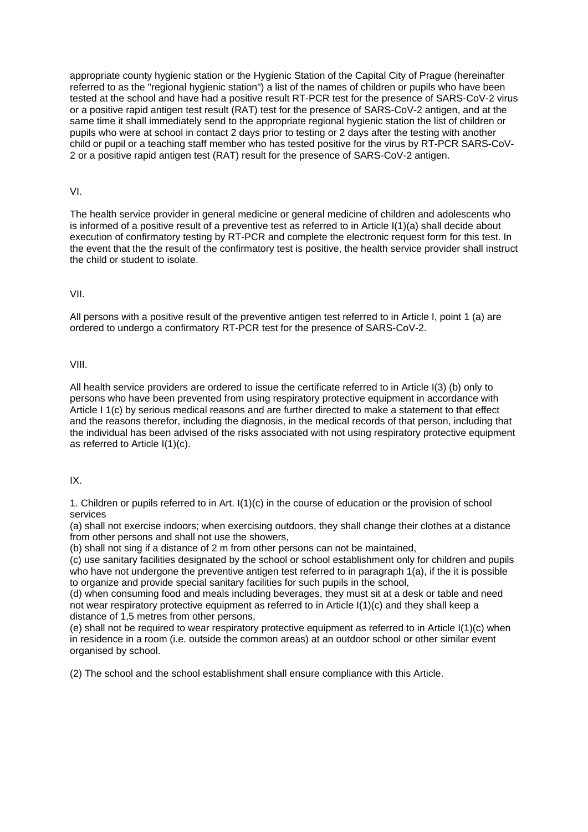appropriate county hygienic station or the Hygienic Station of the Capital City of Prague (hereinafter referred to as the "regional hygienic station") a list of the names of children or pupils who have been tested at the school and have had a positive result RT-PCR test for the presence of SARS-CoV-2 virus or a positive rapid antigen test result (RAT) test for the presence of SARS-CoV-2 antigen, and at the same time it shall immediately send to the appropriate regional hygienic station the list of children or pupils who were at school in contact 2 days prior to testing or 2 days after the testing with another child or pupil or a teaching staff member who has tested positive for the virus by RT-PCR SARS-CoV-2 or a positive rapid antigen test (RAT) result for the presence of SARS-CoV-2 antigen.

#### VI.

The health service provider in general medicine or general medicine of children and adolescents who is informed of a positive result of a preventive test as referred to in Article I(1)(a) shall decide about execution of confirmatory testing by RT-PCR and complete the electronic request form for this test. In the event that the the result of the confirmatory test is positive, the health service provider shall instruct the child or student to isolate.

### VII.

All persons with a positive result of the preventive antigen test referred to in Article I, point 1 (a) are ordered to undergo a confirmatory RT-PCR test for the presence of SARS-CoV-2.

#### VIII.

All health service providers are ordered to issue the certificate referred to in Article I(3) (b) only to persons who have been prevented from using respiratory protective equipment in accordance with Article I 1(c) by serious medical reasons and are further directed to make a statement to that effect and the reasons therefor, including the diagnosis, in the medical records of that person, including that the individual has been advised of the risks associated with not using respiratory protective equipment as referred to Article I(1)(c).

### IX.

1. Children or pupils referred to in Art. I(1)(c) in the course of education or the provision of school services

(a) shall not exercise indoors; when exercising outdoors, they shall change their clothes at a distance from other persons and shall not use the showers,

(b) shall not sing if a distance of 2 m from other persons can not be maintained,

(c) use sanitary facilities designated by the school or school establishment only for children and pupils who have not undergone the preventive antigen test referred to in paragraph 1(a), if the it is possible to organize and provide special sanitary facilities for such pupils in the school,

(d) when consuming food and meals including beverages, they must sit at a desk or table and need not wear respiratory protective equipment as referred to in Article I(1)(c) and they shall keep a distance of 1,5 metres from other persons,

(e) shall not be required to wear respiratory protective equipment as referred to in Article I(1)(c) when in residence in a room (i.e. outside the common areas) at an outdoor school or other similar event organised by school.

(2) The school and the school establishment shall ensure compliance with this Article.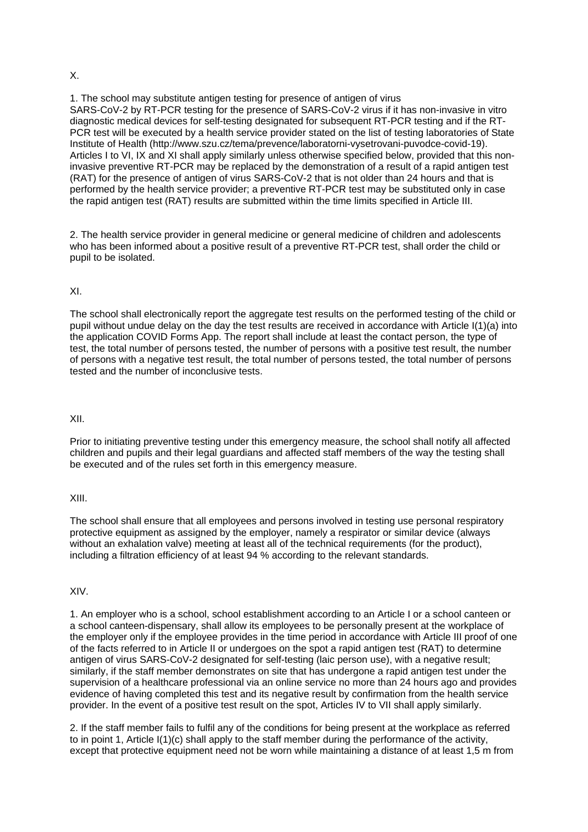### X.

1. The school may substitute antigen testing for presence of antigen of virus SARS-CoV-2 by RT-PCR testing for the presence of SARS-CoV-2 virus if it has non-invasive in vitro diagnostic medical devices for self-testing designated for subsequent RT-PCR testing and if the RT-PCR test will be executed by a health service provider stated on the list of testing laboratories of State Institute of Health (http://www.szu.cz/tema/prevence/laboratorni-vysetrovani-puvodce-covid-19). Articles I to VI, IX and XI shall apply similarly unless otherwise specified below, provided that this noninvasive preventive RT-PCR may be replaced by the demonstration of a result of a rapid antigen test (RAT) for the presence of antigen of virus SARS-CoV-2 that is not older than 24 hours and that is performed by the health service provider; a preventive RT-PCR test may be substituted only in case the rapid antigen test (RAT) results are submitted within the time limits specified in Article III.

2. The health service provider in general medicine or general medicine of children and adolescents who has been informed about a positive result of a preventive RT-PCR test, shall order the child or pupil to be isolated.

# XI.

The school shall electronically report the aggregate test results on the performed testing of the child or pupil without undue delay on the day the test results are received in accordance with Article I(1)(a) into the application COVID Forms App. The report shall include at least the contact person, the type of test, the total number of persons tested, the number of persons with a positive test result, the number of persons with a negative test result, the total number of persons tested, the total number of persons tested and the number of inconclusive tests.

#### XII.

Prior to initiating preventive testing under this emergency measure, the school shall notify all affected children and pupils and their legal guardians and affected staff members of the way the testing shall be executed and of the rules set forth in this emergency measure.

#### XIII.

The school shall ensure that all employees and persons involved in testing use personal respiratory protective equipment as assigned by the employer, namely a respirator or similar device (always without an exhalation valve) meeting at least all of the technical requirements (for the product), including a filtration efficiency of at least 94 % according to the relevant standards.

#### XIV.

1. An employer who is a school, school establishment according to an Article I or a school canteen or a school canteen-dispensary, shall allow its employees to be personally present at the workplace of the employer only if the employee provides in the time period in accordance with Article III proof of one of the facts referred to in Article II or undergoes on the spot a rapid antigen test (RAT) to determine antigen of virus SARS-CoV-2 designated for self-testing (laic person use), with a negative result; similarly, if the staff member demonstrates on site that has undergone a rapid antigen test under the supervision of a healthcare professional via an online service no more than 24 hours ago and provides evidence of having completed this test and its negative result by confirmation from the health service provider. In the event of a positive test result on the spot, Articles IV to VII shall apply similarly.

2. If the staff member fails to fulfil any of the conditions for being present at the workplace as referred to in point 1, Article I(1)(c) shall apply to the staff member during the performance of the activity, except that protective equipment need not be worn while maintaining a distance of at least 1,5 m from